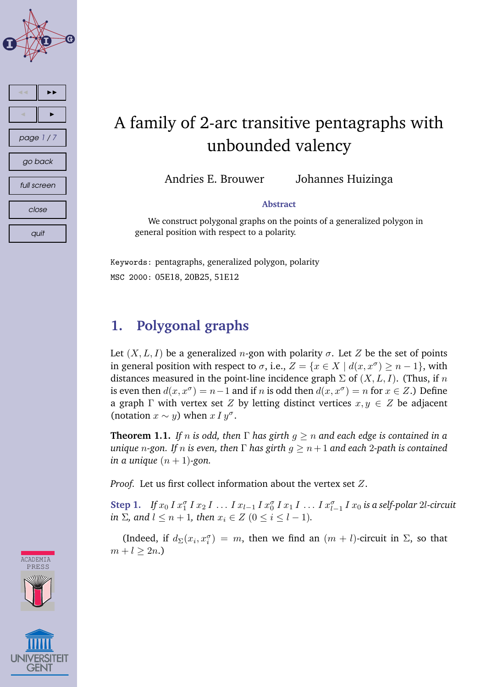

## A family of 2-arc transitive pentagraphs with unbounded valency

Andries E. Brouwer Johannes Huizinga

#### **Abstract**

We construct polygonal graphs on the points of a generalized polygon in general position with respect to a polarity.

Keywords: pentagraphs, generalized polygon, polarity MSC 2000: 05E18, 20B25, 51E12

### **1. Polygonal graphs**

Let  $(X, L, I)$  be a generalized *n*-gon with polarity  $\sigma$ . Let Z be the set of points in general position with respect to  $\sigma$ , i.e.,  $Z = \{x \in X \mid d(x, x^{\sigma}) \geq n - 1\}$ , with distances measured in the point-line incidence graph  $\Sigma$  of  $(X, L, I)$ . (Thus, if n is even then  $d(x, x^{\sigma}) = n - 1$  and if n is odd then  $d(x, x^{\sigma}) = n$  for  $x \in Z$ .) Define a graph  $\Gamma$  with vertex set Z by letting distinct vertices  $x, y \in \mathbb{Z}$  be adjacent (notation  $x \sim y$ ) when  $x I y^{\sigma}$ .

**Theorem 1.1.** *If n is odd, then*  $\Gamma$  *has girth*  $g \geq n$  *and each edge is contained in a unique n*-gon. If *n* is even, then  $\Gamma$  has girth  $g \geq n+1$  and each 2-path is contained *in a unique*  $(n + 1)$ -gon.

*Proof.* Let us first collect information about the vertex set Z.

**Step 1.** If  $x_0 I x_1^{\sigma} I x_2 I ... I x_{l-1} I x_0^{\sigma} I x_1 I ... I x_{l-1}^{\sigma} I x_0$  is a self-polar 2l-circuit *in*  $\Sigma$ *, and*  $l \leq n + 1$ *, then*  $x_i \in Z$  ( $0 \leq i \leq l - 1$ )*.* 

(Indeed, if  $d_{\Sigma}(x_i, x_i^{\sigma}) = m$ , then we find an  $(m + l)$ -circuit in  $\Sigma$ , so that  $m + l > 2n$ .



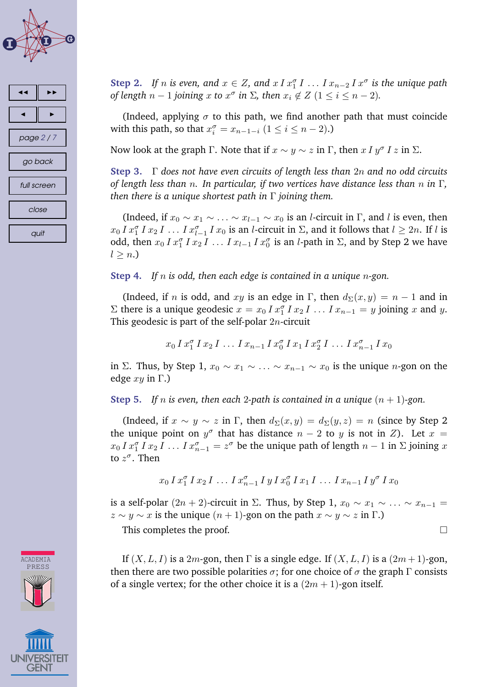



**Step 2.** If *n* is even, and  $x \in Z$ , and  $x \, I \, x_1^{\sigma} \, I \, \ldots \, I \, x_{n-2} \, I \, x^{\sigma}$  is the unique path *of length*  $n-1$  *joining*  $x$  *to*  $x^{\sigma}$  *in*  $\Sigma$ *, then*  $x_i \notin Z$  ( $1 \leq i \leq n-2$ )*.* 

(Indeed, applying  $\sigma$  to this path, we find another path that must coincide with this path, so that  $x_i^{\sigma} = x_{n-1-i}$   $(1 \le i \le n-2)$ .)

Now look at the graph  $\Gamma$ . Note that if  $x \sim y \sim z$  in  $\Gamma$ , then  $x \, I \, y^{\sigma} \, I \, z$  in  $\Sigma$ .

**Step 3.** Γ *does not have even circuits of length less than* 2n *and no odd circuits of length less than* n*. In particular, if two vertices have distance less than* n *in* Γ*, then there is a unique shortest path in* Γ *joining them.*

(Indeed, if  $x_0 \sim x_1 \sim \ldots \sim x_{l-1} \sim x_0$  is an *l*-circuit in Γ, and *l* is even, then  $x_0 I x_1^{\sigma} I x_2 I \dots I x_{l-1}^{\sigma} I x_0$  is an *l*-circuit in  $\Sigma$ , and it follows that  $l \geq 2n$ . If *l* is odd, then  $x_0 I x_1^{\sigma} I x_2 I \ldots I x_{l-1} I x_0^{\sigma}$  is an *l*-path in  $\Sigma$ , and by Step 2 we have  $l > n$ .

**Step 4.** *If* n *is odd, then each edge is contained in a unique* n*-gon.*

(Indeed, if *n* is odd, and xy is an edge in Γ, then  $d_{\Sigma}(x, y) = n - 1$  and in  $\Sigma$  there is a unique geodesic  $x = x_0 I x_1^{\sigma} I x_2 I \dots I x_{n-1} = y$  joining x and y. This geodesic is part of the self-polar  $2n$ -circuit

 $x_0 I x_1^{\sigma} I x_2 I \ldots I x_{n-1} I x_0^{\sigma} I x_1 I x_2^{\sigma} I \ldots I x_{n-1}^{\sigma} I x_0$ 

in Σ. Thus, by Step 1,  $x_0 \sim x_1 \sim \ldots \sim x_{n-1} \sim x_0$  is the unique *n*-gon on the edge  $xy$  in  $\Gamma$ .)

**Step 5.** *If n* is even, then each 2-path is contained in a unique  $(n + 1)$ -gon.

(Indeed, if  $x \sim y \sim z$  in Γ, then  $d_{\Sigma}(x, y) = d_{\Sigma}(y, z) = n$  (since by Step 2) the unique point on  $y^{\sigma}$  that has distance  $n-2$  to y is not in Z). Let  $x =$  $x_0 I x_1^{\sigma} I x_2 I \dots I x_{n-1}^{\sigma} = z^{\sigma}$  be the unique path of length  $n-1$  in  $\Sigma$  joining  $x$ to  $z^{\sigma}$ . Then

$$
x_0 \, I \, x_1^{\sigma} \, I \, x_2 \, I \, \dots \, I \, x_{n-1}^{\sigma} \, I \, y \, I \, x_0^{\sigma} \, I \, x_1 \, I \, \dots \, I \, x_{n-1} \, I \, y^{\sigma} \, I \, x_0
$$

is a self-polar  $(2n + 2)$ -circuit in  $\Sigma$ . Thus, by Step 1,  $x_0 \sim x_1 \sim \ldots \sim x_{n-1} =$  $z \sim y \sim x$  is the unique  $(n + 1)$ -gon on the path  $x \sim y \sim z$  in Γ.)

This completes the proof.

If  $(X, L, I)$  is a 2m-gon, then  $\Gamma$  is a single edge. If  $(X, L, I)$  is a  $(2m + 1)$ -gon, then there are two possible polarities  $\sigma$ ; for one choice of  $\sigma$  the graph  $\Gamma$  consists of a single vertex; for the other choice it is a  $(2m + 1)$ -gon itself.



**ACADEMIA** PRESS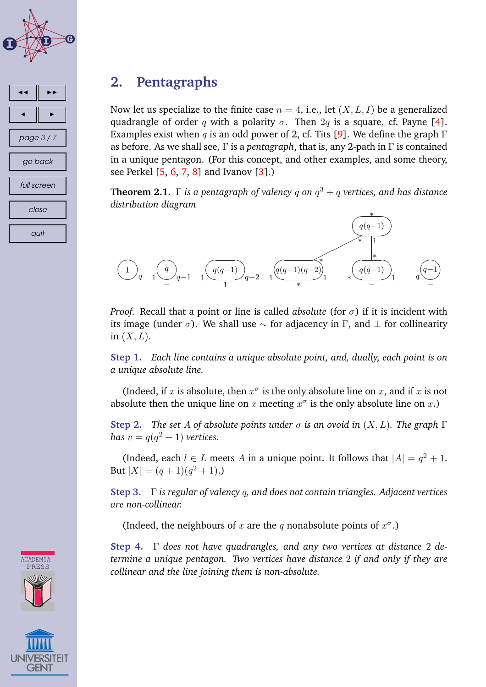

# ◭◭ ◮◮ ◭ ◮ page 3 / 7 go back full screen close quit

#### **2. Pentagraphs**

Now let us specialize to the finite case  $n = 4$ , i.e., let  $(X, L, I)$  be a generalized quadrangle of order q with a polarity  $\sigma$ . Then  $2q$  is a square, cf. Payne [\[4\]](#page-5-0). Examples exist when q is an odd power of 2, cf. Tits [\[9\]](#page-6-0). We define the graph  $\Gamma$ as before. As we shall see, Γ is a *pentagraph*, that is, any 2-path in Γ is contained in a unique pentagon. (For this concept, and other examples, and some theory, see Perkel [\[5,](#page-6-0) [6,](#page-6-0) [7,](#page-6-0) [8\]](#page-6-0) and Ivanov [\[3\]](#page-5-0).)

**Theorem 2.1.** Γ *is a pentagraph of valency* q *on* q <sup>3</sup> + q *vertices, and has distance distribution diagram*



*Proof.* Recall that a point or line is called *absolute* (for  $\sigma$ ) if it is incident with its image (under  $\sigma$ ). We shall use  $\sim$  for adjacency in Γ, and  $\perp$  for collinearity in  $(X, L)$ .

**Step 1.** *Each line contains a unique absolute point, and, dually, each point is on a unique absolute line.*

(Indeed, if x is absolute, then  $x^{\sigma}$  is the only absolute line on x, and if x is not absolute then the unique line on  $x$  meeting  $x^{\sigma}$  is the only absolute line on  $x$ .)

**Step 2.** *The set A of absolute points under*  $\sigma$  *is an ovoid in*  $(X, L)$ *. The graph*  $\Gamma$ *has*  $v = q(q^2 + 1)$  *vertices.* 

(Indeed, each  $l \in L$  meets A in a unique point. It follows that  $|A| = q^2 + 1$ . But  $|X| = (q+1)(q^2+1)$ .

**Step 3.** Γ *is regular of valency* q*, and does not contain triangles. Adjacent vertices are non-collinear.*

(Indeed, the neighbours of x are the q nonabsolute points of  $x^{\sigma}$ .)

**Step 4.** Γ *does not have quadrangles, and any two vertices at distance* 2 *determine a unique pentagon. Two vertices have distance* 2 *if and only if they are collinear and the line joining them is non-absolute.*



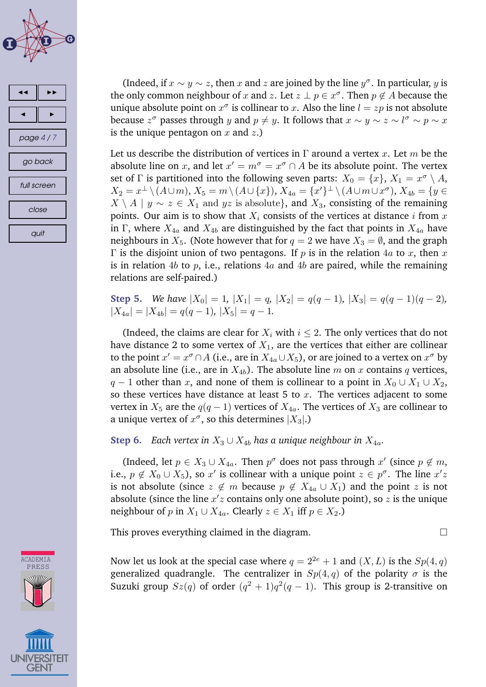



(Indeed, if  $x \sim y \sim z$ , then x and z are joined by the line  $y^{\sigma}$ . In particular, y is the only common neighbour of x and z. Let  $z \perp p \in x^{\sigma}$ . Then  $p \notin A$  because the unique absolute point on  $x^{\sigma}$  is collinear to x. Also the line  $l = zp$  is not absolute because  $z^{\sigma}$  passes through y and  $p \neq y$ . It follows that  $x \sim y \sim z \sim l^{\sigma} \sim p \sim x$ is the unique pentagon on x and  $z$ .)

Let us describe the distribution of vertices in  $\Gamma$  around a vertex x. Let m be the absolute line on x, and let  $x' = m^{\sigma} = x^{\sigma} \cap A$  be its absolute point. The vertex set of  $\Gamma$  is partitioned into the following seven parts:  $X_0 = \{x\},\,X_1 = x^\sigma \setminus A,$  $X_2 = x^{\perp} \setminus (A \cup m), X_5 = m \setminus (A \cup \{x\}), X_{4a} = \overline{\{x'\}}^{\perp} \setminus (A \cup m \cup x^{\sigma}), X_{4b} = \overline{\{y \in x\}}$  $X \setminus A \mid y \sim z \in X_1$  and  $yz$  is absolute}, and  $X_3$ , consisting of the remaining points. Our aim is to show that  $X_i$  consists of the vertices at distance i from x in Γ, where  $X_{4a}$  and  $X_{4b}$  are distinguished by the fact that points in  $X_{4a}$  have neighbours in  $X_5$ . (Note however that for  $q = 2$  we have  $X_3 = \emptyset$ , and the graph  $\Gamma$  is the disjoint union of two pentagons. If p is in the relation 4a to x, then x is in relation 4b to p, i.e., relations  $4a$  and  $4b$  are paired, while the remaining relations are self-paired.)

**Step 5.** *We have*  $|X_0| = 1$ ,  $|X_1| = q$ ,  $|X_2| = q(q - 1)$ ,  $|X_3| = q(q - 1)(q - 2)$ ,  $|X_{4a}| = |X_{4b}| = q(q-1), |X_5| = q-1.$ 

(Indeed, the claims are clear for  $X_i$  with  $i \leq 2$ . The only vertices that do not have distance 2 to some vertex of  $X_1$ , are the vertices that either are collinear to the point  $x' = x^{\sigma} \cap A$  (i.e., are in  $X_{4a} \cup X_5$ ), or are joined to a vertex on  $x^{\sigma}$  by an absolute line (i.e., are in  $X_{4b}$ ). The absolute line m on x contains q vertices,  $q-1$  other than x, and none of them is collinear to a point in  $X_0 \cup X_1 \cup X_2$ , so these vertices have distance at least 5 to  $x$ . The vertices adjacent to some vertex in  $X_5$  are the  $q(q-1)$  vertices of  $X_{4a}$ . The vertices of  $X_3$  are collinear to a unique vertex of  $x^\sigma$ , so this determines  $|X_3|$ .)

**Step 6.** *Each vertex in*  $X_3 \cup X_{4b}$  *has a unique neighbour in*  $X_{4a}$ *.* 

(Indeed, let  $p \in X_3 \cup X_{4a}$ . Then  $p^{\sigma}$  does not pass through  $x'$  (since  $p \notin m$ , i.e.,  $p \notin X_0 \cup X_5$ ), so  $x'$  is collinear with a unique point  $z \in p^{\sigma}$ . The line  $x'z$ is not absolute (since  $z \notin m$  because  $p \notin X_{4a} \cup X_1$ ) and the point z is not absolute (since the line  $x'z$  contains only one absolute point), so  $\overline{z}$  is the unique neighbour of p in  $X_1 \cup X_{4a}$ . Clearly  $z \in X_1$  iff  $p \in X_2$ .)

This proves everything claimed in the diagram.

Now let us look at the special case where  $q = 2^{2e} + 1$  and  $(X, L)$  is the  $Sp(4, q)$ generalized quadrangle. The centralizer in  $Sp(4,q)$  of the polarity  $\sigma$  is the Suzuki group  $Sz(q)$  of order  $(q^2 + 1)q^2(q - 1)$ . This group is 2-transitive on



GEN1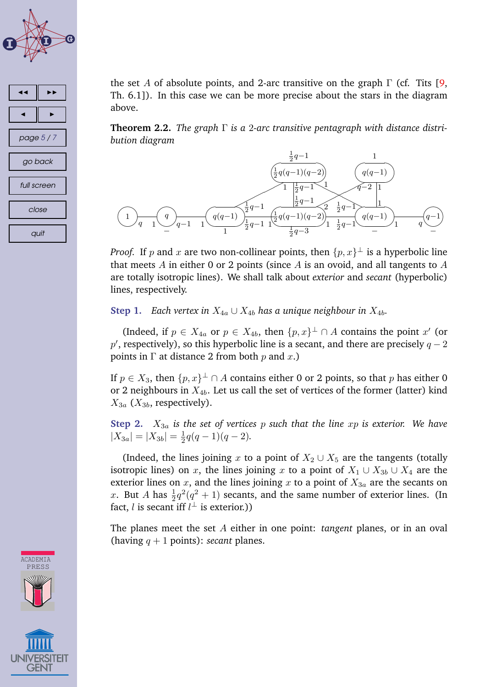



the set A of absolute points, and 2-arc transitive on the graph  $\Gamma$  (cf. Tits [\[9,](#page-6-0) Th. 6.1]). In this case we can be more precise about the stars in the diagram above.

**Theorem 2.2.** *The graph* Γ *is a* 2*-arc transitive pentagraph with distance distribution diagram*



*Proof.* If  $p$  and  $x$  are two non-collinear points, then  $\{p, x\}^{\perp}$  is a hyperbolic line that meets  $A$  in either 0 or 2 points (since  $A$  is an ovoid, and all tangents to  $A$ are totally isotropic lines). We shall talk about *exterior* and *secant* (hyperbolic) lines, respectively.

**Step 1.** *Each vertex in*  $X_{4a} \cup X_{4b}$  *has a unique neighbour in*  $X_{4b}$ *.* 

(Indeed, if  $p \in X_{4a}$  or  $p \in X_{4b}$ , then  $\{p, x\}^{\perp} \cap A$  contains the point  $x'$  (or  $p'$ , respectively), so this hyperbolic line is a secant, and there are precisely  $q-2$ points in  $\Gamma$  at distance 2 from both p and x.)

If  $p \in X_3$ , then  $\{p, x\}^{\perp} \cap A$  contains either 0 or 2 points, so that  $p$  has either 0 or 2 neighbours in  $X_{4b}$ . Let us call the set of vertices of the former (latter) kind  $X_{3a}$  ( $X_{3b}$ , respectively).

**Step 2.** X3<sup>a</sup> *is the set of vertices* p *such that the line* xp *is exterior. We have*  $|X_{3a}| = |X_{3b}| = \frac{1}{2}$  $\frac{1}{2}q(q-1)(q-2)$ .

(Indeed, the lines joining x to a point of  $X_2 \cup X_5$  are the tangents (totally isotropic lines) on x, the lines joining x to a point of  $X_1 \cup X_{3b} \cup X_4$  are the exterior lines on  $x$ , and the lines joining  $x$  to a point of  $X_{3a}$  are the secants on x. But A has  $\frac{1}{2}q^2(q^2+1)$  secants, and the same number of exterior lines. (In fact, *l* is secant iff  $l^{\perp}$  is exterior.))

The planes meet the set A either in one point: *tangent* planes, or in an oval (having  $q + 1$  points): *secant* planes.

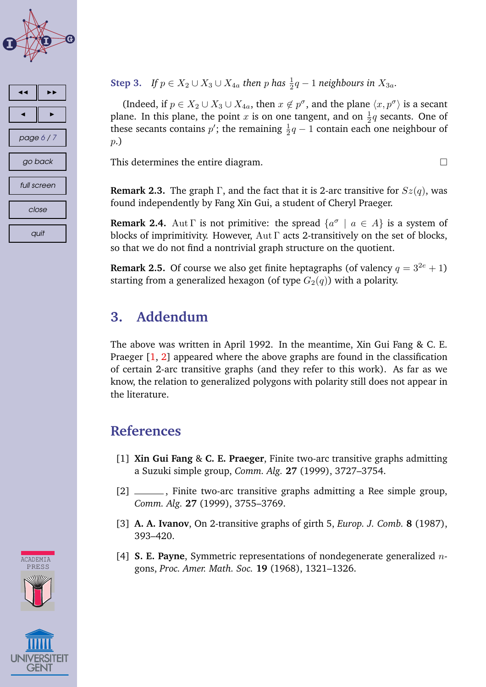<span id="page-5-0"></span>



#### **Step 3.** *If*  $p \in X_2 \cup X_3 \cup X_{4a}$  then p has  $\frac{1}{2}q - 1$  neighbours in  $X_{3a}$ .

(Indeed, if  $p \in X_2 \cup X_3 \cup X_{4a}$ , then  $x \notin p^{\sigma}$ , and the plane  $\langle x, p^{\sigma} \rangle$  is a secant plane. In this plane, the point  $x$  is on one tangent, and on  $\frac{1}{2}q$  secants. One of these secants contains  $p'$ ; the remaining  $\frac{1}{2}q-1$  contain each one neighbour of p.)

This determines the entire diagram.

**Remark 2.3.** The graph  $\Gamma$ , and the fact that it is 2-arc transitive for  $Sz(q)$ , was found independently by Fang Xin Gui, a student of Cheryl Praeger.

**Remark 2.4.** Aut  $\Gamma$  is not primitive: the spread  $\{a^{\sigma} \mid a \in A\}$  is a system of blocks of imprimitivity. However,  $\text{Aut } \Gamma$  acts 2-transitively on the set of blocks, so that we do not find a nontrivial graph structure on the quotient.

**Remark 2.5.** Of course we also get finite heptagraphs (of valency  $q = 3^{2e} + 1$ ) starting from a generalized hexagon (of type  $G_2(q)$ ) with a polarity.

#### **3. Addendum**

The above was written in April 1992. In the meantime, Xin Gui Fang & C. E. Praeger [1, 2] appeared where the above graphs are found in the classification of certain 2-arc transitive graphs (and they refer to this work). As far as we know, the relation to generalized polygons with polarity still does not appear in the literature.

#### **References**

- [1] **Xin Gui Fang** & **C. E. Praeger**, Finite two-arc transitive graphs admitting a Suzuki simple group, *Comm. Alg.* **27** (1999), 3727–3754.
- [2] \_\_\_\_\_\_, Finite two-arc transitive graphs admitting a Ree simple group, *Comm. Alg.* **27** (1999), 3755–3769.
- [3] **A. A. Ivanov**, On 2-transitive graphs of girth 5, *Europ. J. Comb.* **8** (1987), 393–420.
- [4] **S. E. Payne**, Symmetric representations of nondegenerate generalized ngons, *Proc. Amer. Math. Soc.* **19** (1968), 1321–1326.